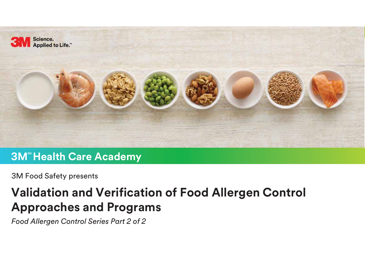

#### **3M<sup>\*</sup> Health Care Academy**

3M Food Safety presents

## **Validation and Verification of Food Allergen Control Approaches and Programs**

*Food Allergen Control Series Part 2 of 2*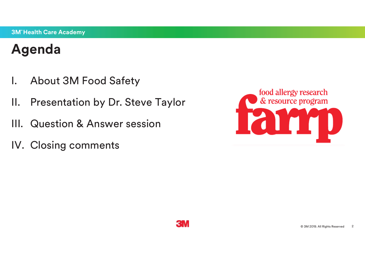## **Agenda**

- I. About 3M Food Safety
- II. Presentation by Dr. Steve Taylor
- III. Question & Answer session
- IV. Closing comments



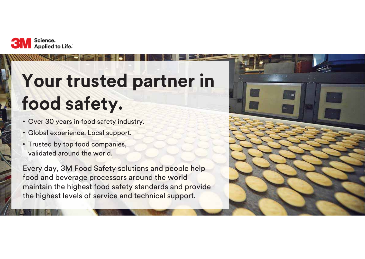

# **Your trusted partner in food safety.**

- Over 30 years in food safety industry.
- Global experience. Local support.
- Trusted by top food companies, validated around the world.

Every day, 3M Food Safety solutions and people help food and beverage processors around the world maintain the highest food safety standards and provide the highest levels of service and technical support.

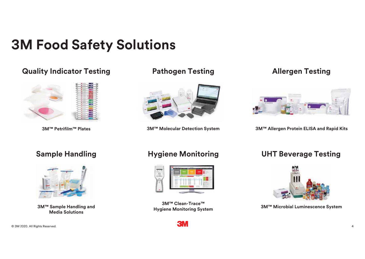## **3M Food Safety Solutions**

#### **Quality Indicator Testing Pathogen Testing**



**3M™ Petrifilm™ Plates**



**3M™ Molecular Detection System**

#### **Allergen Testing**



**3M™ Allergen Protein ELISA and Rapid Kits**



**Hygiene Monitoring System**<br>Media Solutions Media Solutions



**3M™ Clean-Trace™**



#### **Sample Handling Hygiene Monitoring UHT Beverage Testing**



**3M™ Microbial Luminescence System**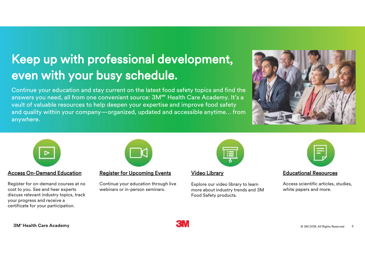## Keep up with professional development, even with your busy schedule.

Continue your education and stay current on the latest food safety topics and find the answers you need, all from one convenient source: 3M<sup>sm</sup> Health Care Academy. It's a vault of valuable resources to help deepen your expertise and improve food safety and quality within your company—organized, updated and accessible anytime… from anywhere.





#### Access On-Demand Education

Register for on-demand courses at no **SM** cost to you. See and hear experts discuss relevant industry topics, track your progress and receive a certificate for your participation.

#### Register for Upcoming Events

Continue your education through live webinars or in-person seminars.

#### Video Library

Explore our video library to learn more about industry trends and 3M Food Safety products.



#### Educational Resources

Access scientific articles, studies, white papers and more.

**3M Health Care Academy SM** © 3M 2018. All Rights Reserved <sup>5</sup>

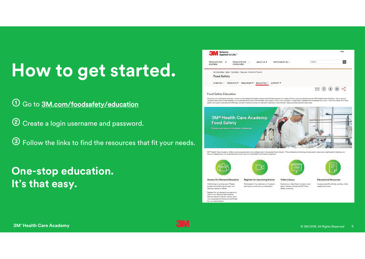# **How to get started.**

➀ Go to 3M.com/foodsafety/education

➁ Create a login username and password.

➂ Follow the links to find the resources that fit your needs.

### **One-stop education. It's that easy.**



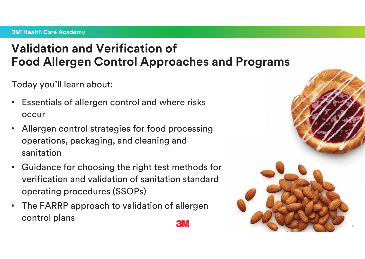## **Validation and Verification of Food Allergen Control Approaches and Programs**

Today you'll learn about:

- $\bullet$  Essentials of allergen control and where risks occur
- • Allergen control strategies for food processing operations, packaging, and cleaning and sanitation
- • Guidance for choosing the right test methods for verification and validation of sanitation standard operating procedures (SSOPs)
- The FARRP approach to validation of allergen control plans

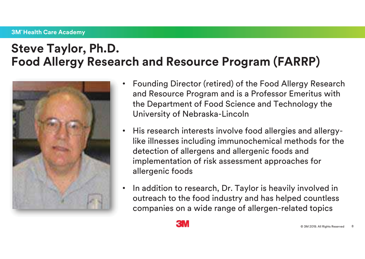## **Steve Taylor, Ph.D. Food Allergy Research and Resource Program (FARRP)**



- Founding Director (retired) of the Food Allergy Research and Resource Program and is a Professor Emeritus with the Department of Food Science and Technology the University of Nebraska-Lincoln
- $\bullet$  His research interests involve food allergies and allergylike illnesses including immunochemical methods for the detection of allergens and allergenic foods and implementation of risk assessment approaches for allergenic foods
- • In addition to research, Dr. Taylor is heavily involved in outreach to the food industry and has helped countless companies on a wide range of allergen-related topics



8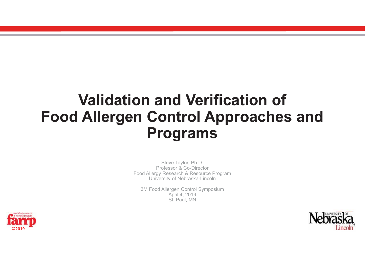## **Validation and Verification of Food Allergen Control Approaches and Programs**

Steve Taylor, Ph.D. Professor & Co-Director Food Allergy Research & Resource Program University of Nebraska-Lincoln

3M Food Allergen Control Symposium April 4, 2019 St. Paul, MN



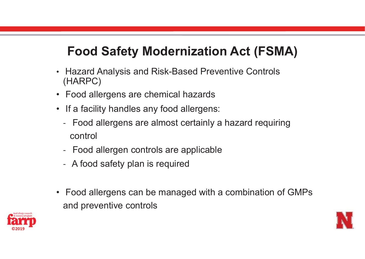## **Food Safety Modernization Act (FSMA)**

- Hazard Analysis and Risk-Based Preventive Controls (HARPC)
- Food allergens are chemical hazards
- If a facility handles any food allergens:
	- - Food allergens are almost certainly a hazard requiring control
	- Food allergen controls are applicable
	- A food safety plan is required
- Food allergens can be managed with a combination of GMPs and preventive controls



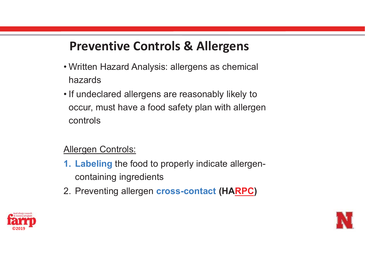## **Preventive Controls & Allergens**

- Written Hazard Analysis: allergens as chemical hazards
- If undeclared allergens are reasonably likely to occur, must have a food safety plan with allergen controls

#### Allergen Controls:

- **1. Labeling** the food to properly indicate allergencontaining ingredients
- 2. Preventing allergen **cross-contact (HARPC )**



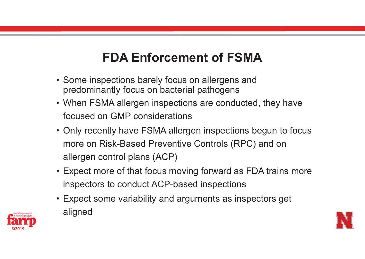## **FDA Enforcement of FSMA**

- Some inspections barely focus on allergens and predominantly focus on bacterial pathogens
- When FSMA allergen inspections are conducted, they have focused on GMP considerations
- Only recently have FSMA allergen inspections begun to focus more on Risk-Based Preventive Controls (RPC) and on allergen control plans (ACP)
- Expect more of that focus moving forward as FDA trains more inspectors to conduct ACP-based inspections
- Expect some variability and arguments as inspectors get aligned



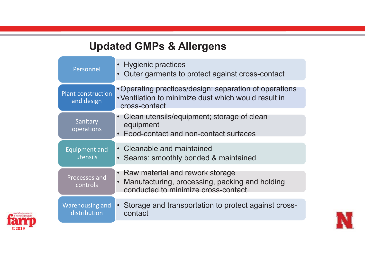## **Updated GMPs & Allergens**

| Personnel                               | <b>Hygienic practices</b><br>$\bullet$<br>Outer garments to protect against cross-contact<br>$\bullet$                                             |
|-----------------------------------------|----------------------------------------------------------------------------------------------------------------------------------------------------|
| <b>Plant construction</b><br>and design | • Operating practices/design: separation of operations<br>• Ventilation to minimize dust which would result in<br>cross-contact                    |
| Sanitary<br>operations                  | Clean utensils/equipment; storage of clean<br>equipment<br>Food-contact and non-contact surfaces<br>$\bullet$                                      |
| <b>Equipment and</b><br>utensils        | Cleanable and maintained<br>$\bullet$<br>Seams: smoothly bonded & maintained<br>$\bullet$                                                          |
| Processes and<br>controls               | Raw material and rework storage<br>$\bullet$<br>Manufacturing, processing, packing and holding<br>$\bullet$<br>conducted to minimize cross-contact |
| Warehousing and<br>distribution         | • Storage and transportation to protect against cross-<br>contact                                                                                  |



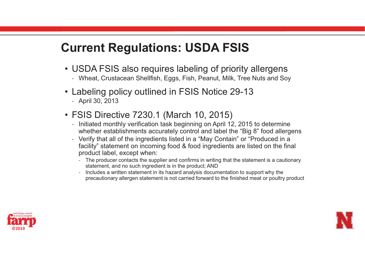## **Current Regulations: USDA FSIS**

- USDA FSIS also requires labeling of priority allergens
	- Wheat, Crustacean Shellfish, Eggs, Fish, Peanut, Milk, Tree Nuts and Soy
- Labeling policy outlined in FSIS Notice 29-13
	- April 30, 2013
- FSIS Directive 7230.1 (March 10, 2015)
	- Initiated monthly verification task beginning on April 12, 2015 to determine whether establishments accurately control and label the "Big 8" food allergens
	- Verify that all of the ingredients listed in a "May Contain" or "Produced in a facility" statement on incoming food & food ingredients are listed on the final product label, except when:
		- The producer contacts the supplier and confirms in writing that the statement is a cautionary statement, and no such ingredient is in the product; AND
		- Includes a written statement in its hazard analysis documentation to support why the precautionary allergen statement is not carried forward to the finished meat or poultry product



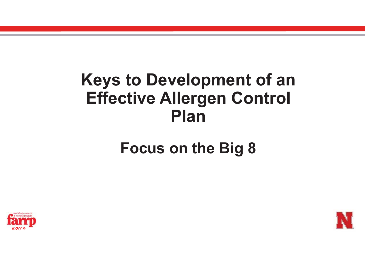# **Keys to Development of an Effective Allergen Control Plan**

## **Focus on the Big 8**



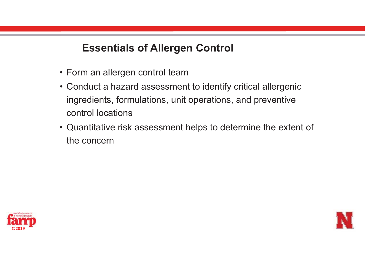#### **Essentials of Allergen Control**

- Form an allergen control team
- Conduct a hazard assessment to identify critical allergenic ingredients, formulations, unit operations, and preventive control locations
- Quantitative risk assessment helps to determine the extent of the concern



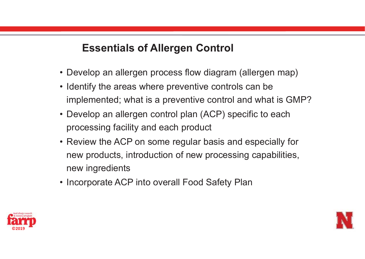#### **Essentials of Allergen Control**

- Develop an allergen process flow diagram (allergen map)
- Identify the areas where preventive controls can be implemented; what is a preventive control and what is GMP?
- Develop an allergen control plan (ACP) specific to each processing facility and each product
- Review the ACP on some regular basis and especially for new products, introduction of new processing capabilities, new ingredients
- Incorporate ACP into overall Food Safety Plan



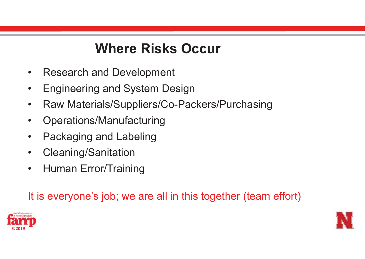## **Where Risks Occur**

- $\bullet$ Research and Development
- •Engineering and System Design
- $\bullet$ Raw Materials/Suppliers/Co-Packers/Purchasing
- $\bullet$ Operations/Manufacturing
- $\bullet$ Packaging and Labeling
- $\bullet$ Cleaning/Sanitation
- $\bullet$ Human Error/Training

It is everyone's job; we are all in this together (team effort)



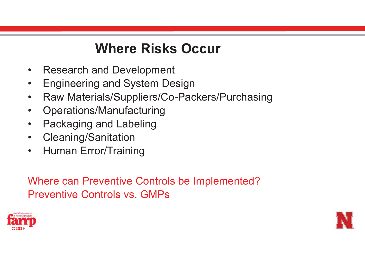## **Where Risks Occur**

- $\bullet$ Research and Development
- $\bullet$ Engineering and System Design
- $\bullet$ Raw Materials/Suppliers/Co-Packers/Purchasing
- $\bullet$ Operations/Manufacturing
- $\bullet$ Packaging and Labeling
- $\bullet$ Cleaning/Sanitation
- $\bullet$ Human Error/Training

Where can Preventive Controls be Implemented? Preventive Controls vs. GMPs



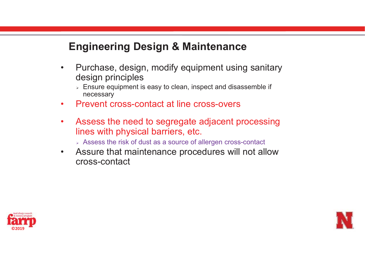### **Engineering Design & Maintenance**

- $\bullet$  Purchase, design, modify equipment using sanitary design principles
	- $\triangleright$  Ensure equipment is easy to clean, inspect and disassemble if necessary
- $\bullet$ Prevent cross-contact at line cross-overs
- $\bullet$  Assess the need to segregate adjacent processing lines with physical barriers, etc.
	- Assess the risk of dust as a source of allergen cross-contact
- $\bullet$  Assure that maintenance procedures will not allow cross-contact



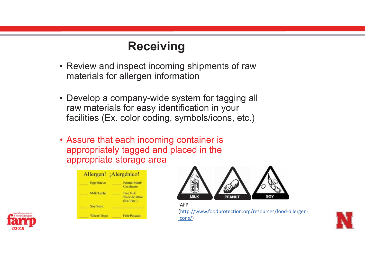### **Receiving**

- Review and inspect incoming shipments of raw materials for allergen information
- Develop a company-wide system for tagging all raw materials for easy identification in your facilities (Ex. color coding, symbols/icons, etc.)
- Assure that each incoming container is appropriately tagged and placed in the appropriate storage area



**©2019**



IAFP (http://www.foodprotection.org/resources/food-allergenicons/)

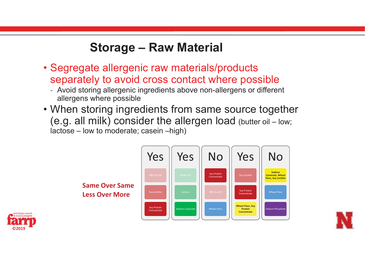## **Storage – Raw Material**

- Segregate allergenic raw materials/products separately to avoid cross contact where possible
	- Avoid storing allergenic ingredients above non-allergens or different allergens where possible
- When storing ingredients from same source together (e.g. all milk) consider the allergen load (butter oil – low; lactose – low to moderate; casein –high)





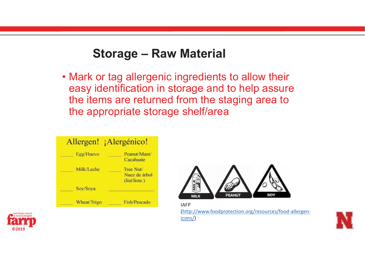### **Storage – Raw Material**

• Mark or tag allergenic ingredients to allow their easy identification in storage and to help assure the items are returned from the staging area to the appropriate storage shelf/area

|             | Allergen! ¡Alergénico!                      |
|-------------|---------------------------------------------|
| Egg/Huevo   | Peanut/Mani/<br>Cacahuate                   |
| Milk/Leche  | Tree Nut/<br>Nuez de árbol<br>(list/liste.) |
| Soy/Soya    |                                             |
| Wheat/Trigo | Fish/Pescado                                |



IAFP (http://www.foodprotection.org/resources/food-allergenicons/)



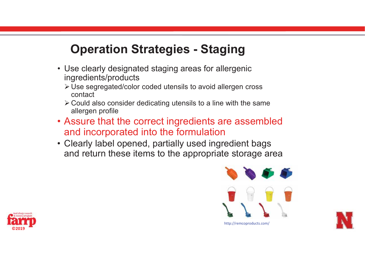### **Operation Strategies - Staging**

- Use clearly designated staging areas for allergenic ingredients/products
	- ≻ Use segregated/color coded utensils to avoid allergen cross contact
	- $\triangleright$  Could also consider dedicating utensils to a line with the same allergen profile
- Assure that the correct ingredients are assembled and incorporated into the formulation
- Clearly label opened, partially used ingredient bags and return these items to the appropriate storage area





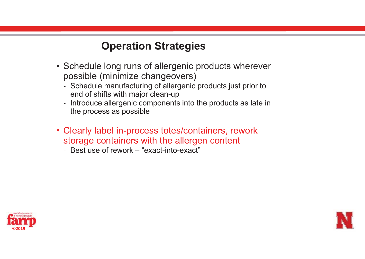#### **Operation Strategies**

- Schedule long runs of allergenic products wherever possible (minimize changeovers)
	- Schedule manufacturing of allergenic products just prior to end of shifts with major clean-up
	- Introduce allergenic components into the products as late in the process as possible
- Clearly label in-process totes/containers, rework storage containers with the allergen content
	- Best use of rework "exact-into-exact"



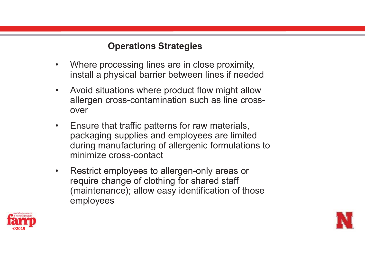#### **Operations Strategies**

- • Where processing lines are in close proximity, install a physical barrier between lines if needed
- $\bullet$  Avoid situations where product flow might allow allergen cross-contamination such as line crossover
- $\bullet$  Ensure that traffic patterns for raw materials, packaging supplies and employees are limited during manufacturing of allergenic formulations to minimize cross-contact
- $\bullet$  Restrict employees to allergen-only areas or require change of clothing for shared staff (maintenance); allow easy identification of those employees



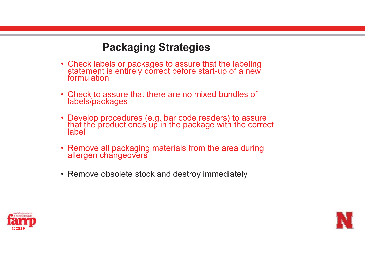#### **Packaging Strategies**

- Check labels or packages to assure that the labeling statement is entirely correct before start-up of a new formulation
- Check to assure that there are no mixed bundles of labels/packages
- Develop procedures (e.g. bar code readers) to assure that the product ends up in the package with the correct label
- Remove all packaging materials from the area during<br>allergen changeovers
- Remove obsolete stock and destroy immediately



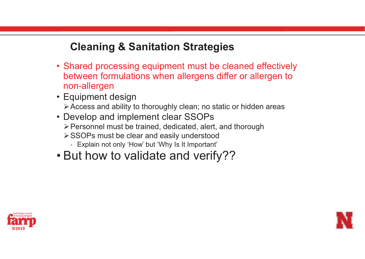#### **Cleaning & Sanitation Strategies**

- Shared processing equipment must be cleaned effectively between formulations when allergens differ or allergen to non-allergen
- Equipment design -Access and ability to thoroughly clean; no static or hidden areas
- Develop and implement clear SSOPs -Personnel must be trained, dedicated, alert, and thorough
	- -SSOPs must be clear and easily understood
		- Explain not only 'How' but 'Why Is It Important'
- But how to validate and verify??



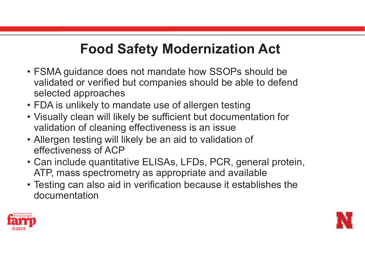## **Food Safety Modernization Act**

- FSMA guidance does not mandate how SSOPs should be validated or verified but companies should be able to defend selected approaches
- FDA is unlikely to mandate use of allergen testing
- Visually clean will likely be sufficient but documentation for validation of cleaning effectiveness is an issue
- Allergen testing will likely be an aid to validation of effectiveness of ACP
- Can include quantitative ELISAs, LFDs, PCR, general protein, ATP, mass spectrometry as appropriate and available
- Testing can also aid in verification because it establishes the documentation



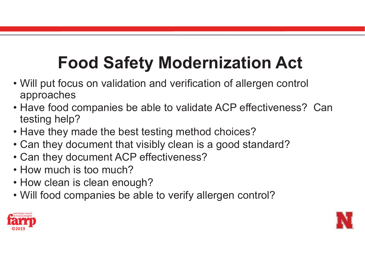# **Food Safety Modernization Act**

- Will put focus on validation and verification of allergen control approaches
- Have food companies be able to validate ACP effectiveness? Can testing help?
- Have they made the best testing method choices?
- Can they document that visibly clean is a good standard?
- Can they document ACP effectiveness?
- How much is too much?
- How clean is clean enough?
- Will food companies be able to verify allergen control?



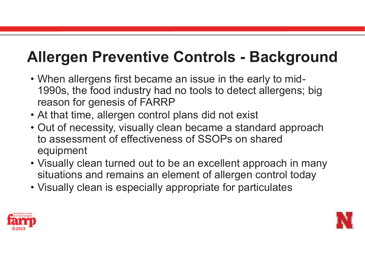# **Allergen Preventive Controls - Background**

- When allergens first became an issue in the early to mid-1990s, the food industry had no tools to detect allergens; big reason for genesis of FARRP
- At that time, allergen control plans did not exist
- Out of necessity, visually clean became a standard approach to assessment of effectiveness of SSOPs on shared equipment
- Visually clean turned out to be an excellent approach in many situations and remains an element of allergen control today
- Visually clean is especially appropriate for particulates



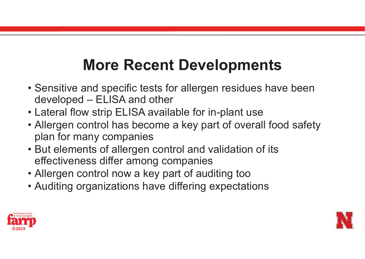# **More Recent Developments**

- Sensitive and specific tests for allergen residues have been developed – ELISA and other
- Lateral flow strip ELISA available for in-plant use
- Allergen control has become a key part of overall food safety plan for many companies
- But elements of allergen control and validation of its effectiveness differ among companies
- Allergen control now a key part of auditing too
- Auditing organizations have differing expectations



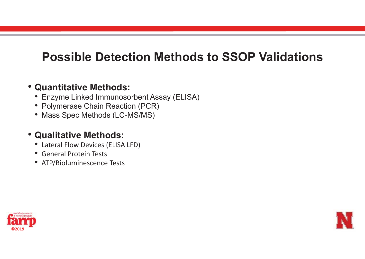## **Possible Detection Methods to SSOP Validations**

#### • **Quantitative Methods:**

- Enzyme Linked Immunosorbent Assay (ELISA)
- Polymerase Chain Reaction (PCR)
- Mass Spec Methods (LC-MS/MS)

#### • **Qualitative Methods:**

- Lateral Flow Devices (ELISA LFD)
- General Protein Tests
- ATP/Bioluminescence Tests



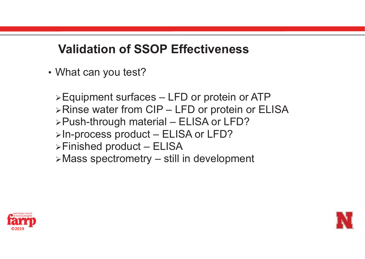## **Validation of SSOP Effectiveness**

• What can you test?

≻Equipment surfaces – LFD or protein or ATP ≻Rinse water from CIP – LFD or protein or ELISA -Push-through material – ELISA or LFD? ≻In-process product – ELISA or LFD? -Finished product – ELISA -Mass spectrometry – still in development



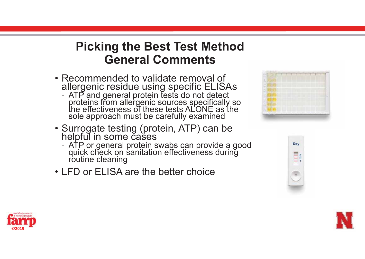## **Picking the Best Test Method General Comments**

- Recommended to validate removal of allergenic residue using specific ELISAs
	- ATP and general protein tests do not detect proteins from allergenic sources specifically so the effectiveness of these tests ALONE as the sole approach must be carefully examined
- Surrogate testing (protein, ATP) can be helpful in some cases
	- ATP or general protein swabs can provide a good<br>quick check on sanitation effectiveness during<br>routine cleaning routine cleaning
- LFD or ELISA are the better choice







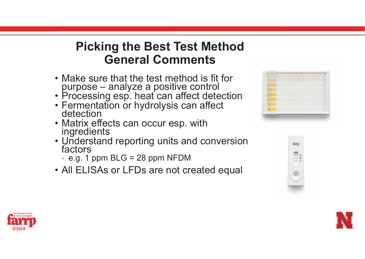## **Picking the Best Test Method General Comments**

- Make sure that the test method is fit for purpose – analyze a positive control
- Processing esp. heat can affect detection
- Fermentation or hydrolysis can affect<br>detection
- Matrix effects can occur esp. with ingredients
- Understand reporting units and conversion factors
	- e.g. 1 ppm BLG = 28 ppm NFDM
- All ELISAs or LFDs are not created equal







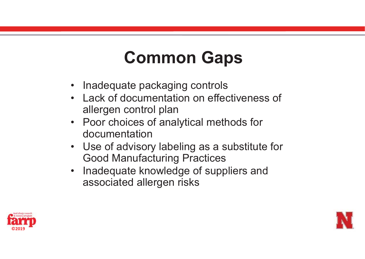# **Common Gaps**

- Inadequate packaging controls
- Lack of documentation on effectiveness of allergen control plan
- Poor choices of analytical methods for documentation
- Use of advisory labeling as a substitute for Good Manufacturing Practices
- Inadequate knowledge of suppliers and associated allergen risks



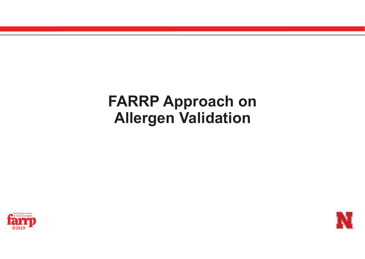## **FARRP Approach on Allergen Validation**



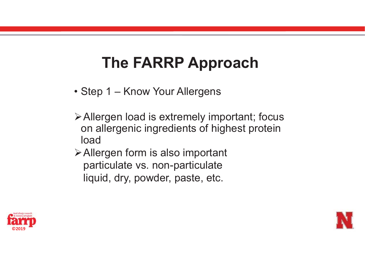- Step 1 Know Your Allergens
- -Allergen load is extremely important; focus on allergenic ingredients of highest protein load
- **≻Allergen form is also important** particulate vs. non-particulate liquid, dry, powder, paste, etc.



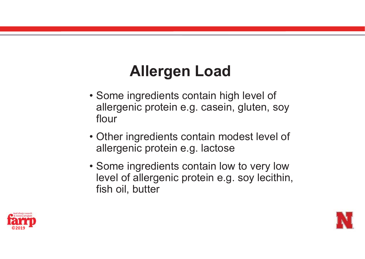# **Allergen Load**

- Some ingredients contain high level of allergenic protein e.g. casein, gluten, soy flour
- Other ingredients contain modest level of allergenic protein e.g. lactose
- Some ingredients contain low to very low level of allergenic protein e.g. soy lecithin, fish oil, butter



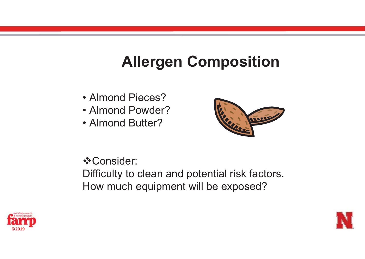## **Allergen Composition**

- Almond Pieces?
- Almond Powder?
- Almond Butter?



**❖Consider:** 

Difficulty to clean and potential risk factors. How much equipment will be exposed?



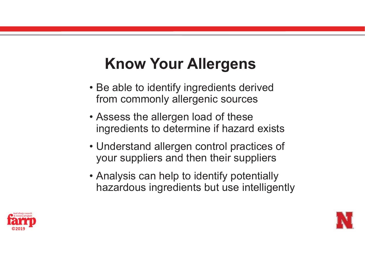# **Know Your Allergens**

- Be able to identify ingredients derived from commonly allergenic sources
- Assess the allergen load of these ingredients to determine if hazard exists
- Understand allergen control practices of your suppliers and then their suppliers
- Analysis can help to identify potentially hazardous ingredients but use intelligently



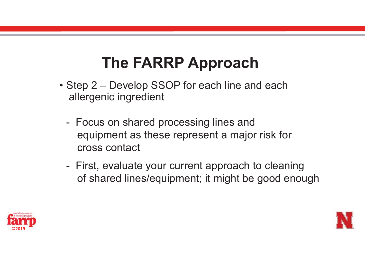- Step 2 Develop SSOP for each line and each allergenic ingredient
	- - Focus on shared processing lines and equipment as these represent a major risk for cross contact
	- - First, evaluate your current approach to cleaning of shared lines/equipment; it might be good enough



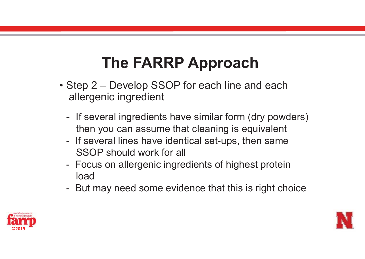- Step 2 Develop SSOP for each line and each allergenic ingredient
	- -- If several ingredients have similar form (dry powders) then you can assume that cleaning is equivalent
	- - If several lines have identical set-ups, then same SSOP should work for all
	- - Focus on allergenic ingredients of highest protein load
	- -But may need some evidence that this is right choice



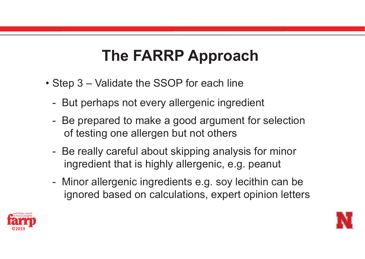- Step 3 Validate the SSOP for each line
	- But perhaps not every allergenic ingredient
	- Be prepared to make a good argument for selection of testing one allergen but not others
	- - Be really careful about skipping analysis for minor ingredient that is highly allergenic, e.g. peanut
	- - Minor allergenic ingredients e.g. soy lecithin can be ignored based on calculations, expert opinion letters



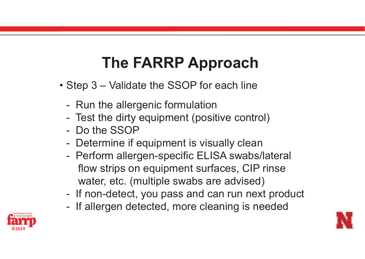- Step 3 Validate the SSOP for each line
	- -Run the allergenic formulation
	- -Test the dirty equipment (positive control)
	- Do the SSOP
	- -Determine if equipment is visually clean
	- - Perform allergen-specific ELISA swabs/lateral flow strips on equipment surfaces, CIP rinse water, etc. (multiple swabs are advised)
	- -If non-detect, you pass and can run next product
	- -If allergen detected, more cleaning is needed



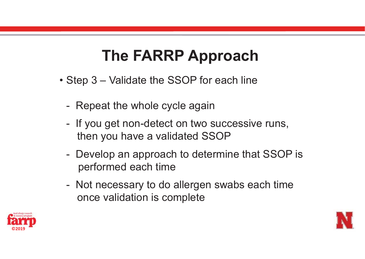- Step 3 Validate the SSOP for each line
	- -Repeat the whole cycle again
	- - If you get non-detect on two successive runs, then you have a validated SSOP
	- - Develop an approach to determine that SSOP is performed each time
	- - Not necessary to do allergen swabs each time once validation is complete



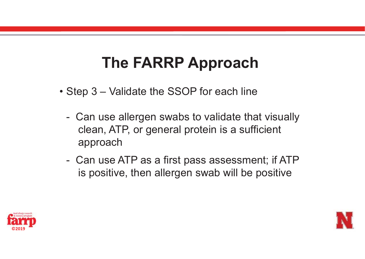- Step 3 Validate the SSOP for each line
	- - Can use allergen swabs to validate that visually clean, ATP, or general protein is a sufficient approach
	- - Can use ATP as a first pass assessment; if ATP is positive, then allergen swab will be positive



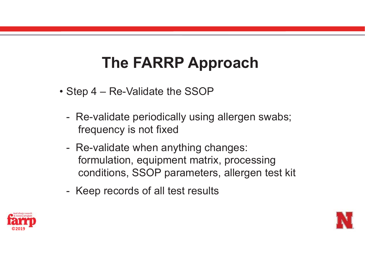- Step 4 Re-Validate the SSOP
	- - Re-validate periodically using allergen swabs; frequency is not fixed
	- - Re-validate when anything changes: formulation, equipment matrix, processing conditions, SSOP parameters, allergen test kit
	- -Keep records of all test results



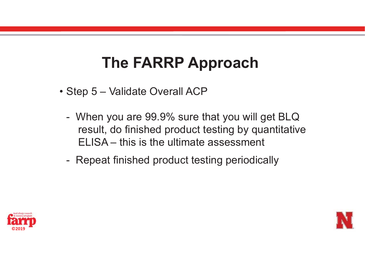- Step 5 Validate Overall ACP
	- - When you are 99.9% sure that you will get BLQ result, do finished product testing by quantitative ELISA – this is the ultimate assessment
	- -Repeat finished product testing periodically



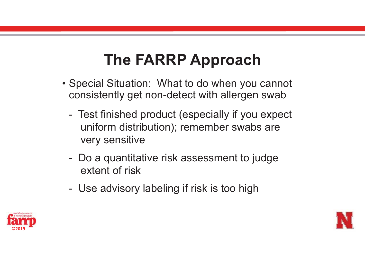- Special Situation: What to do when you cannot consistently get non-detect with allergen swab
	- Test finished product (especially if you expect uniform distribution); remember swabs are very sensitive
	- Do a quantitative risk assessment to judge extent of risk
	- -Use advisory labeling if risk is too high



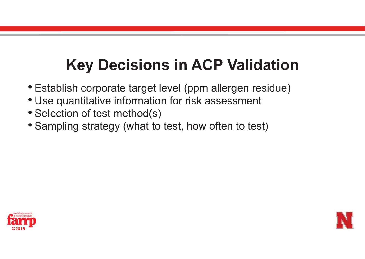# **Key Decisions in ACP Validation**

- Establish corporate target level (ppm allergen residue)
- Use quantitative information for risk assessment
- Selection of test method(s)
- Sampling strategy (what to test, how often to test)



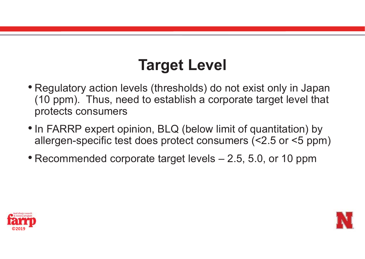# **Target Level**

- Regulatory action levels (thresholds) do not exist only in Japan (10 ppm). Thus, need to establish a corporate target level that protects consumers
- In FARRP expert opinion, BLQ (below limit of quantitation) by allergen-specific test does protect consumers (<2.5 or <5 ppm)
- Recommended corporate target levels 2.5, 5.0, or 10 ppm



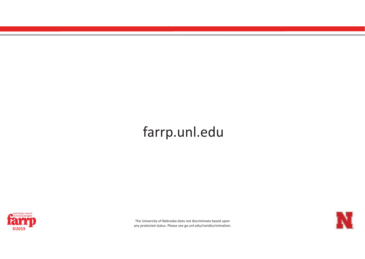## farrp.unl.edu



The University of Nebraska does not discriminate based upon any protected status. Please see go.unl.edu/nondiscrimination. **©2019**

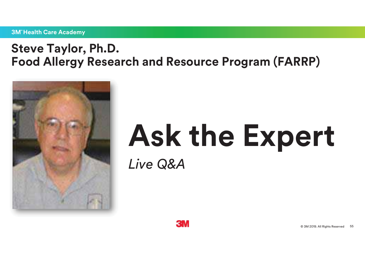#### **3M** Health Care Academy

## **Steve Taylor, Ph.D. Food Allergy Research and Resource Program (FARRP)**



# **Ask the Expert** *Live Q&A*

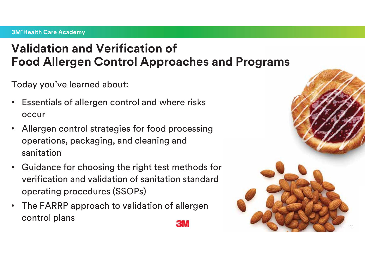## **Validation and Verification of Food Allergen Control Approaches and Programs**

Today you've learned about:

- $\bullet$  Essentials of allergen control and where risks occur
- • Allergen control strategies for food processing operations, packaging, and cleaning and sanitation
- • Guidance for choosing the right test methods for verification and validation of sanitation standard operating procedures (SSOPs)
- The FARRP approach to validation of allergen control plans

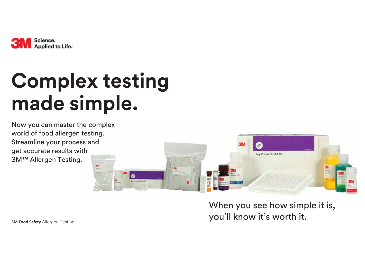

# **Complex testing made simple.**

Now you can master the complex world of food allergen testing. Streamline your process and get accurate results with 3M™ Allergen Testing.



When you see how simple it is, you'll know it's worth it.

**3M Food Safety Allergen Testing**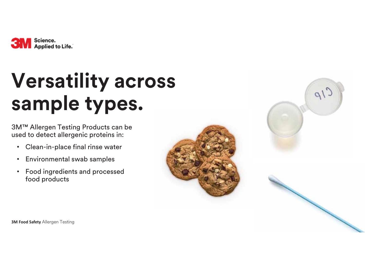

# **Versatility across sample types.**

3M™ Allergen Testing Products can be used to detect allergenic proteins in:

- •Clean-in-place final rinse water
- $\bullet$ Environmental swab samples
- • Food ingredients and processed food products







**3M Food Safety Allergen Testing**